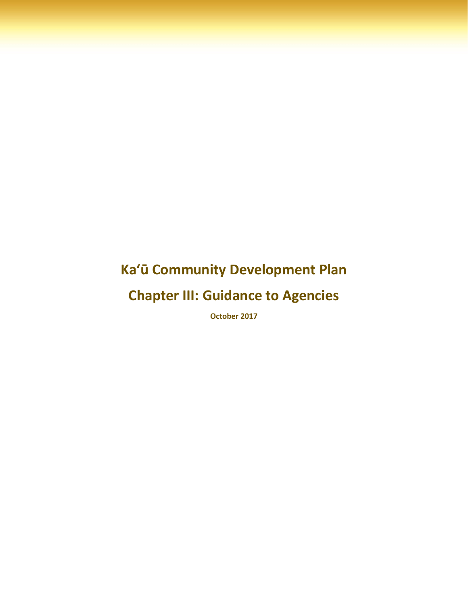# **Ka'ū Community Development Plan**

# **Chapter III: Guidance to Agencies**

**October 2017**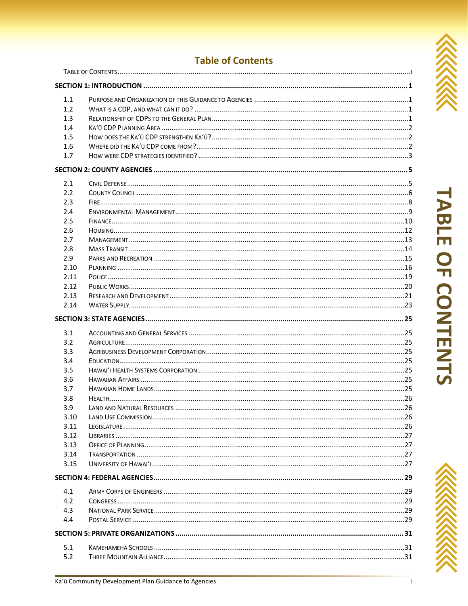<span id="page-2-0"></span>

| <b>Table of Contents</b> |  |  |
|--------------------------|--|--|
|                          |  |  |
|                          |  |  |
| 1.1                      |  |  |
| 1.2                      |  |  |
| 1.3                      |  |  |
| 1.4                      |  |  |
| 1.5                      |  |  |
| 1.6                      |  |  |
| 1.7                      |  |  |
|                          |  |  |
| 2.1                      |  |  |
| 2.2                      |  |  |
| 2.3                      |  |  |
| 2.4                      |  |  |
| 2.5                      |  |  |
| 2.6                      |  |  |
| 2.7                      |  |  |
|                          |  |  |
| 2.8                      |  |  |
| 2.9                      |  |  |
| 2.10                     |  |  |
| 2.11                     |  |  |
| 2.12                     |  |  |
| 2.13                     |  |  |
| 2.14                     |  |  |
|                          |  |  |
| 3.1                      |  |  |
| 3.2                      |  |  |
| 3.3                      |  |  |
| 3.4                      |  |  |
| 3.5                      |  |  |
| 3.6                      |  |  |
| 3.7                      |  |  |
| 3.8                      |  |  |
| 3.9                      |  |  |
|                          |  |  |
| 3.10                     |  |  |
| 3.11                     |  |  |
| 3.12                     |  |  |
| 3.13                     |  |  |
| 3.14                     |  |  |
| 3.15                     |  |  |
|                          |  |  |
| 4.1                      |  |  |
| 4.2                      |  |  |
| 4.3                      |  |  |
| 4.4                      |  |  |
|                          |  |  |
| 5.1                      |  |  |
| 5.2                      |  |  |
|                          |  |  |

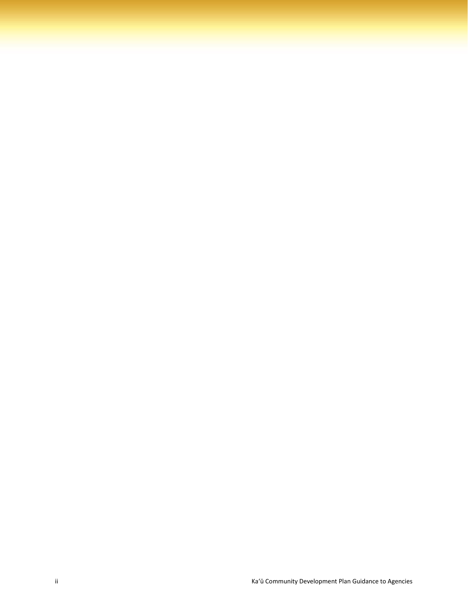ii Ka'ū Community Development Plan Guidance to Agencies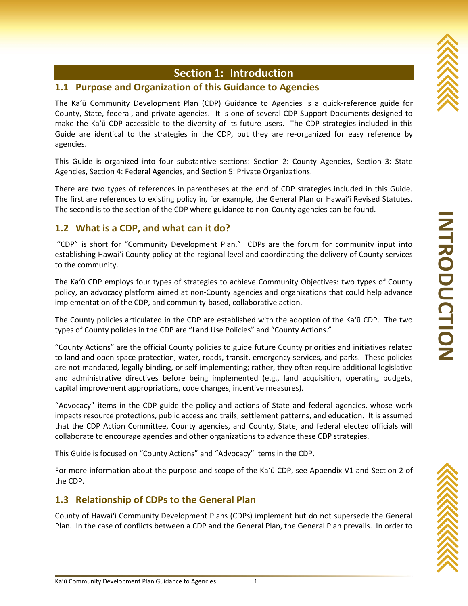

# <span id="page-4-0"></span>**Section 1: Introduction**

### <span id="page-4-1"></span>**1.1 Purpose and Organization of this Guidance to Agencies**

The Ka'ū Community Development Plan (CDP) Guidance to Agencies is a quick-reference guide for County, State, federal, and private agencies. It is one of several CDP Support Documents designed to make the Ka'ū CDP accessible to the diversity of its future users. The CDP strategies included in this Guide are identical to the strategies in the CDP, but they are re-organized for easy reference by agencies.

This Guide is organized into four substantive sections: Section 2: County Agencies, Section 3: State Agencies, Section 4: Federal Agencies, and Section 5: Private Organizations.

There are two types of references in parentheses at the end of CDP strategies included in this Guide. The first are references to existing policy in, for example, the General Plan or Hawai'i Revised Statutes. The second is to the section of the CDP where guidance to non-County agencies can be found.

# <span id="page-4-2"></span>**1.2 What is a CDP, and what can it do?**

"CDP" is short for "Community Development Plan." CDPs are the forum for community input into establishing Hawai'i County policy at the regional level and coordinating the delivery of County services to the community.

The Ka'ū CDP employs four types of strategies to achieve Community Objectives: two types of County policy, an advocacy platform aimed at non-County agencies and organizations that could help advance implementation of the CDP, and community-based, collaborative action.

The County policies articulated in the CDP are established with the adoption of the Ka'ū CDP. The two types of County policies in the CDP are "Land Use Policies" and "County Actions."

"County Actions" are the official County policies to guide future County priorities and initiatives related to land and open space protection, water, roads, transit, emergency services, and parks. These policies are not mandated, legally-binding, or self-implementing; rather, they often require additional legislative and administrative directives before being implemented (e.g., land acquisition, operating budgets, capital improvement appropriations, code changes, incentive measures).

"Advocacy" items in the CDP guide the policy and actions of State and federal agencies, whose work impacts resource protections, public access and trails, settlement patterns, and education. It is assumed that the CDP Action Committee, County agencies, and County, State, and federal elected officials will collaborate to encourage agencies and other organizations to advance these CDP strategies.

This Guide is focused on "County Actions" and "Advocacy" items in the CDP.

For more information about the purpose and scope of the Ka'ū CDP, see Appendix V1 and Section 2 of the CDP.

### <span id="page-4-3"></span>**1.3 Relationship of CDPs to the General Plan**

County of Hawai'i Community Development Plans (CDPs) implement but do not supersede the General Plan. In the case of conflicts between a CDP and the General Plan, the General Plan prevails. In order to

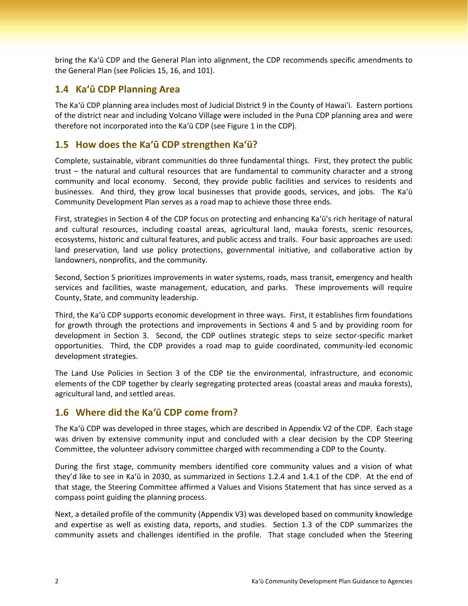bring the Ka'ū CDP and the General Plan into alignment, the CDP recommends specific amendments to the General Plan (see Policies 15, 16, and 101).

## <span id="page-5-0"></span>**1.4 Ka'ū CDP Planning Area**

The Ka'ū CDP planning area includes most of Judicial District 9 in the County of Hawai'i. Eastern portions of the district near and including Volcano Village were included in the Puna CDP planning area and were therefore not incorporated into the Ka'ū CDP (see Figure 1 in the CDP).

# <span id="page-5-1"></span>**1.5 How does the Ka'ū CDP strengthen Ka'ū?**

Complete, sustainable, vibrant communities do three fundamental things. First, they protect the public trust – the natural and cultural resources that are fundamental to community character and a strong community and local economy. Second, they provide public facilities and services to residents and businesses. And third, they grow local businesses that provide goods, services, and jobs. The Ka'ū Community Development Plan serves as a road map to achieve those three ends.

First, strategies in Section 4 of the CDP focus on protecting and enhancing Ka'ū's rich heritage of natural and cultural resources, including coastal areas, agricultural land, mauka forests, scenic resources, ecosystems, historic and cultural features, and public access and trails. Four basic approaches are used: land preservation, land use policy protections, governmental initiative, and collaborative action by landowners, nonprofits, and the community.

Second, Section 5 prioritizes improvements in water systems, roads, mass transit, emergency and health services and facilities, waste management, education, and parks. These improvements will require County, State, and community leadership.

Third, the Ka'ū CDP supports economic development in three ways. First, it establishes firm foundations for growth through the protections and improvements in Sections 4 and 5 and by providing room for development in Section 3. Second, the CDP outlines strategic steps to seize sector-specific market opportunities. Third, the CDP provides a road map to guide coordinated, community-led economic development strategies.

The Land Use Policies in Section 3 of the CDP tie the environmental, infrastructure, and economic elements of the CDP together by clearly segregating protected areas (coastal areas and mauka forests), agricultural land, and settled areas.

### <span id="page-5-2"></span>**1.6 Where did the Ka'ū CDP come from?**

The Ka'ū CDP was developed in three stages, which are described in Appendix V2 of the CDP. Each stage was driven by extensive community input and concluded with a clear decision by the CDP Steering Committee, the volunteer advisory committee charged with recommending a CDP to the County.

During the first stage, community members identified core community values and a vision of what they'd like to see in Ka'ū in 2030, as summarized in Sections 1.2.4 and 1.4.1 of the CDP. At the end of that stage, the Steering Committee affirmed a Values and Visions Statement that has since served as a compass point guiding the planning process.

Next, a detailed profile of the community (Appendix V3) was developed based on community knowledge and expertise as well as existing data, reports, and studies. Section 1.3 of the CDP summarizes the community assets and challenges identified in the profile. That stage concluded when the Steering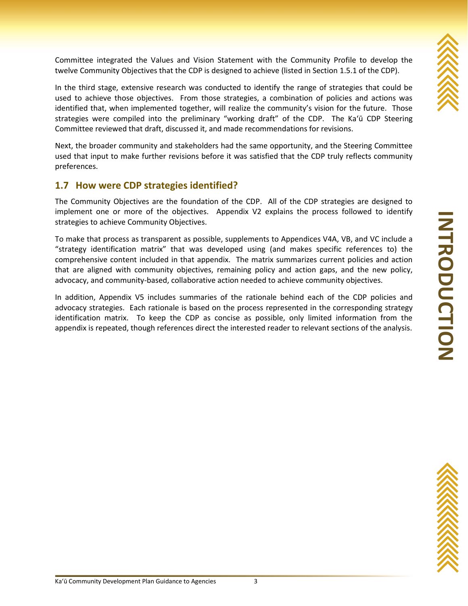

Committee integrated the Values and Vision Statement with the Community Profile to develop the twelve Community Objectives that the CDP is designed to achieve (listed in Section 1.5.1 of the CDP).

In the third stage, extensive research was conducted to identify the range of strategies that could be used to achieve those objectives. From those strategies, a combination of policies and actions was identified that, when implemented together, will realize the community's vision for the future. Those strategies were compiled into the preliminary "working draft" of the CDP. The Ka'ū CDP Steering Committee reviewed that draft, discussed it, and made recommendations for revisions.

Next, the broader community and stakeholders had the same opportunity, and the Steering Committee used that input to make further revisions before it was satisfied that the CDP truly reflects community preferences.

### <span id="page-6-0"></span>**1.7 How were CDP strategies identified?**

The Community Objectives are the foundation of the CDP. All of the CDP strategies are designed to implement one or more of the objectives. Appendix V2 explains the process followed to identify strategies to achieve Community Objectives.

To make that process as transparent as possible, supplements to Appendices V4A, VB, and VC include a "strategy identification matrix" that was developed using (and makes specific references to) the comprehensive content included in that appendix. The matrix summarizes current policies and action that are aligned with community objectives, remaining policy and action gaps, and the new policy, advocacy, and community-based, collaborative action needed to achieve community objectives.

In addition, Appendix V5 includes summaries of the rationale behind each of the CDP policies and advocacy strategies. Each rationale is based on the process represented in the corresponding strategy identification matrix. To keep the CDP as concise as possible, only limited information from the appendix is repeated, though references direct the interested reader to relevant sections of the analysis.

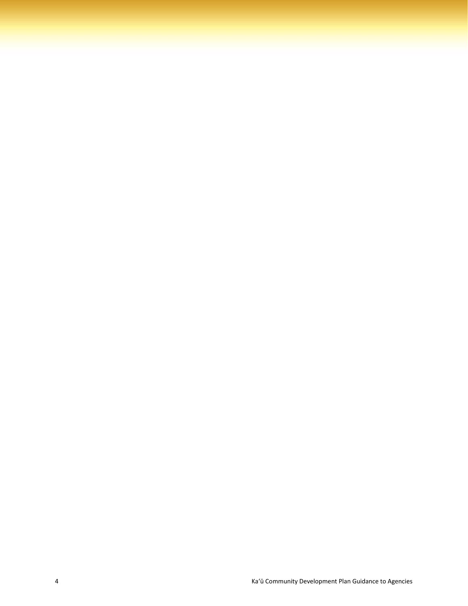Ka'ū Community Development Plan Guidance to Agencies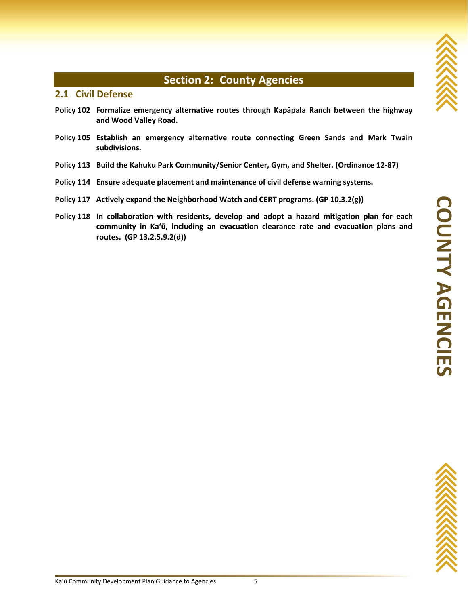

# <span id="page-8-0"></span>**Section 2: County Agencies**

### <span id="page-8-1"></span>**2.1 Civil Defense**

- **Policy 102 Formalize emergency alternative routes through Kapāpala Ranch between the highway and Wood Valley Road.**
- **Policy 105 Establish an emergency alternative route connecting Green Sands and Mark Twain subdivisions.**
- **Policy 113 Build the Kahuku Park Community/Senior Center, Gym, and Shelter. (Ordinance 12-87)**
- **Policy 114 Ensure adequate placement and maintenance of civil defense warning systems.**
- **Policy 117 Actively expand the Neighborhood Watch and CERT programs. (GP 10.3.2(g))**
- **Policy 118 In collaboration with residents, develop and adopt a hazard mitigation plan for each community in Ka'ū, including an evacuation clearance rate and evacuation plans and routes. (GP 13.2.5.9.2(d))**

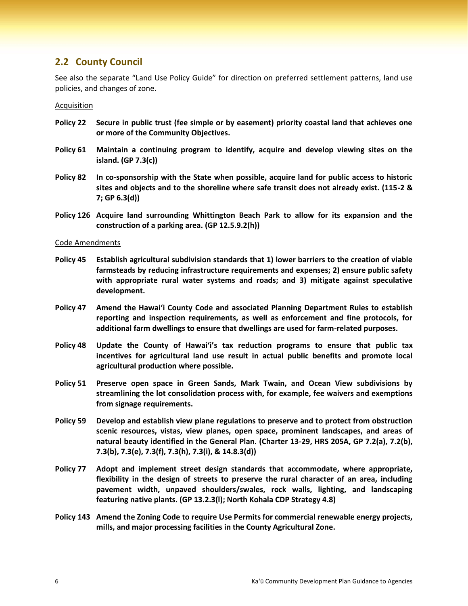### <span id="page-9-0"></span>**2.2 County Council**

See also the separate "Land Use Policy Guide" for direction on preferred settlement patterns, land use policies, and changes of zone.

#### Acquisition

- **Policy 22 Secure in public trust (fee simple or by easement) priority coastal land that achieves one or more of the Community Objectives.**
- **Policy 61 Maintain a continuing program to identify, acquire and develop viewing sites on the island. (GP 7.3(c))**
- **Policy 82 In co-sponsorship with the State when possible, acquire land for public access to historic sites and objects and to the shoreline where safe transit does not already exist. (115-2 & 7; GP 6.3(d))**
- **Policy 126 Acquire land surrounding Whittington Beach Park to allow for its expansion and the construction of a parking area. (GP 12.5.9.2(h))**

Code Amendments

- **Policy 45 Establish agricultural subdivision standards that 1) lower barriers to the creation of viable farmsteads by reducing infrastructure requirements and expenses; 2) ensure public safety with appropriate rural water systems and roads; and 3) mitigate against speculative development.**
- **Policy 47 Amend the Hawai'i County Code and associated Planning Department Rules to establish reporting and inspection requirements, as well as enforcement and fine protocols, for additional farm dwellings to ensure that dwellings are used for farm-related purposes.**
- **Policy 48 Update the County of Hawai'i's tax reduction programs to ensure that public tax incentives for agricultural land use result in actual public benefits and promote local agricultural production where possible.**
- **Policy 51 Preserve open space in Green Sands, Mark Twain, and Ocean View subdivisions by streamlining the lot consolidation process with, for example, fee waivers and exemptions from signage requirements.**
- **Policy 59 Develop and establish view plane regulations to preserve and to protect from obstruction scenic resources, vistas, view planes, open space, prominent landscapes, and areas of natural beauty identified in the General Plan. (Charter 13-29, HRS 205A, GP 7.2(a), 7.2(b), 7.3(b), 7.3(e), 7.3(f), 7.3(h), 7.3(i), & 14.8.3(d))**
- **Policy 77 Adopt and implement street design standards that accommodate, where appropriate, flexibility in the design of streets to preserve the rural character of an area, including pavement width, unpaved shoulders/swales, rock walls, lighting, and landscaping featuring native plants. (GP 13.2.3(l); North Kohala CDP Strategy 4.8)**
- **Policy 143 Amend the Zoning Code to require Use Permits for commercial renewable energy projects, mills, and major processing facilities in the County Agricultural Zone.**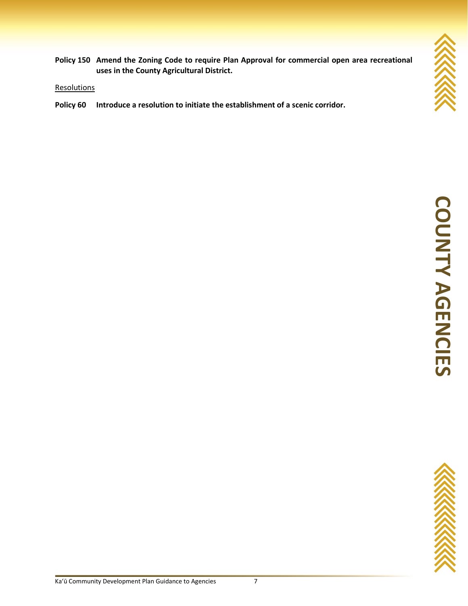

### **Resolutions**

**Policy 60 Introduce a resolution to initiate the establishment of a scenic corridor.**

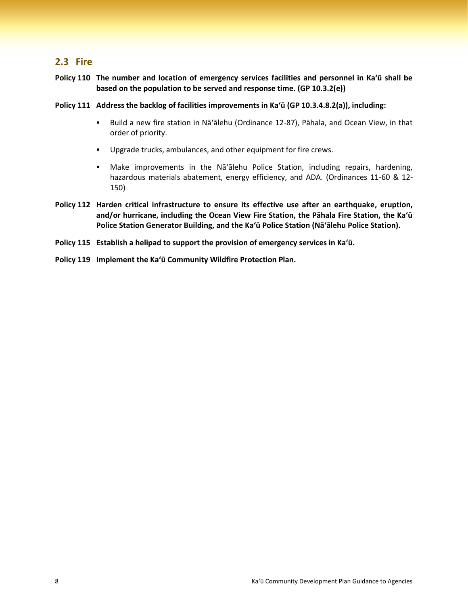### <span id="page-11-0"></span>**2.3 Fire**

**Policy 110 The number and location of emergency services facilities and personnel in Ka'ū shall be based on the population to be served and response time. (GP 10.3.2(e))**

#### **Policy 111 Address the backlog of facilities improvements in Ka'ū (GP 10.3.4.8.2(a)), including:**

- Build a new fire station in Nāʻālehu (Ordinance 12-87), Pāhala, and Ocean View, in that order of priority.
- Upgrade trucks, ambulances, and other equipment for fire crews.
- Make improvements in the Nāʻālehu Police Station, including repairs, hardening, hazardous materials abatement, energy efficiency, and ADA. (Ordinances 11-60 & 12- 150)
- **Policy 112 Harden critical infrastructure to ensure its effective use after an earthquake, eruption, and/or hurricane, including the Ocean View Fire Station, the Pāhala Fire Station, the Ka'ū Police Station Generator Building, and the Ka'ū Police Station (Nāʻālehu Police Station).**
- **Policy 115 Establish a helipad to support the provision of emergency services in Ka'ū.**
- **Policy 119 Implement the Ka'ū Community Wildfire Protection Plan.**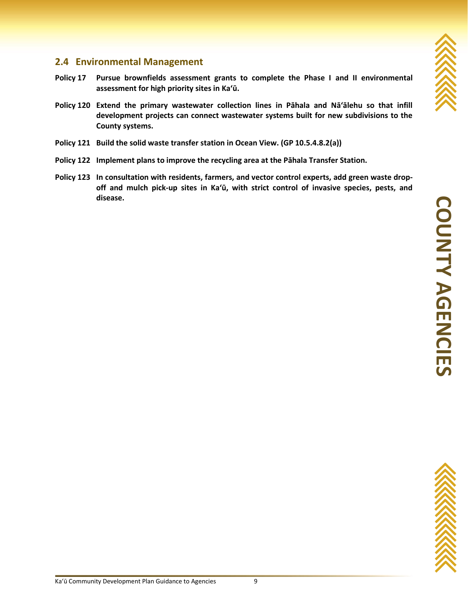### <span id="page-12-0"></span>**2.4 Environmental Management**

- **Policy 17 Pursue brownfields assessment grants to complete the Phase I and II environmental assessment for high priority sites in Ka'ū.**
- **Policy 120 Extend the primary wastewater collection lines in Pāhala and Nāʻālehu so that infill development projects can connect wastewater systems built for new subdivisions to the County systems.**
- **Policy 121 Build the solid waste transfer station in Ocean View. (GP 10.5.4.8.2(a))**
- **Policy 122 Implement plans to improve the recycling area at the Pāhala Transfer Station.**
- **Policy 123 In consultation with residents, farmers, and vector control experts, add green waste dropoff and mulch pick-up sites in Ka'ū, with strict control of invasive species, pests, and disease.**



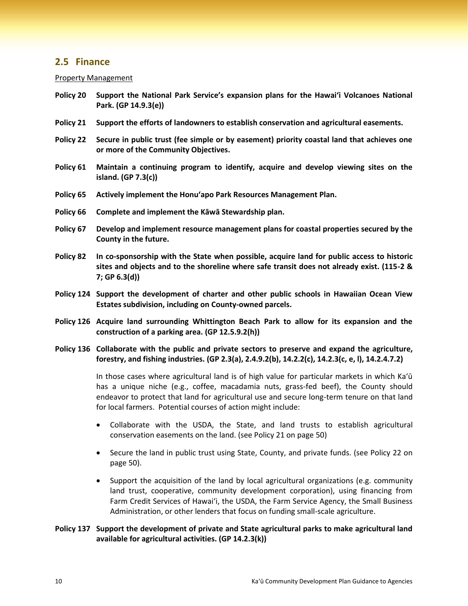### <span id="page-13-0"></span>**2.5 Finance**

Property Management

- **Policy 20 Support the National Park Service's expansion plans for the Hawai'i Volcanoes National Park. (GP 14.9.3(e))**
- **Policy 21 Support the efforts of landowners to establish conservation and agricultural easements.**
- **Policy 22 Secure in public trust (fee simple or by easement) priority coastal land that achieves one or more of the Community Objectives.**
- **Policy 61 Maintain a continuing program to identify, acquire and develop viewing sites on the island. (GP 7.3(c))**
- **Policy 65 Actively implement the Honu'apo Park Resources Management Plan.**
- **Policy 66 Complete and implement the Kāwā Stewardship plan.**
- **Policy 67 Develop and implement resource management plans for coastal properties secured by the County in the future.**
- **Policy 82 In co-sponsorship with the State when possible, acquire land for public access to historic sites and objects and to the shoreline where safe transit does not already exist. (115-2 & 7; GP 6.3(d))**
- **Policy 124 Support the development of charter and other public schools in Hawaiian Ocean View Estates subdivision, including on County-owned parcels.**
- **Policy 126 Acquire land surrounding Whittington Beach Park to allow for its expansion and the construction of a parking area. (GP 12.5.9.2(h))**
- **Policy 136 Collaborate with the public and private sectors to preserve and expand the agriculture, forestry, and fishing industries. (GP 2.3(a), 2.4.9.2(b), 14.2.2(c), 14.2.3(c, e, l), 14.2.4.7.2)**

In those cases where agricultural land is of high value for particular markets in which Ka'ū has a unique niche (e.g., coffee, macadamia nuts, grass-fed beef), the County should endeavor to protect that land for agricultural use and secure long-term tenure on that land for local farmers. Potential courses of action might include:

- Collaborate with the USDA, the State, and land trusts to establish agricultural conservation easements on the land. (see Policy 21 on page 50)
- Secure the land in public trust using State, County, and private funds. (see Policy 22 on page 50).
- Support the acquisition of the land by local agricultural organizations (e.g. community land trust, cooperative, community development corporation), using financing from Farm Credit Services of Hawai'i, the USDA, the Farm Service Agency, the Small Business Administration, or other lenders that focus on funding small-scale agriculture.

### **Policy 137 Support the development of private and State agricultural parks to make agricultural land available for agricultural activities. (GP 14.2.3(k))**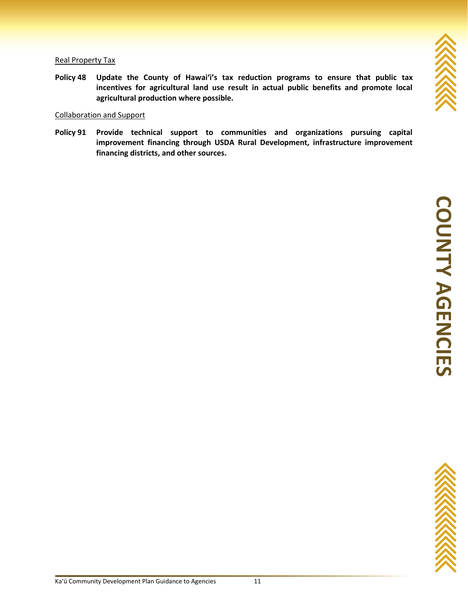

#### Real Property Tax

**Policy 48 Update the County of Hawai'i's tax reduction programs to ensure that public tax incentives for agricultural land use result in actual public benefits and promote local agricultural production where possible.**

#### Collaboration and Support

**Policy 91 Provide technical support to communities and organizations pursuing capital improvement financing through USDA Rural Development, infrastructure improvement financing districts, and other sources.**

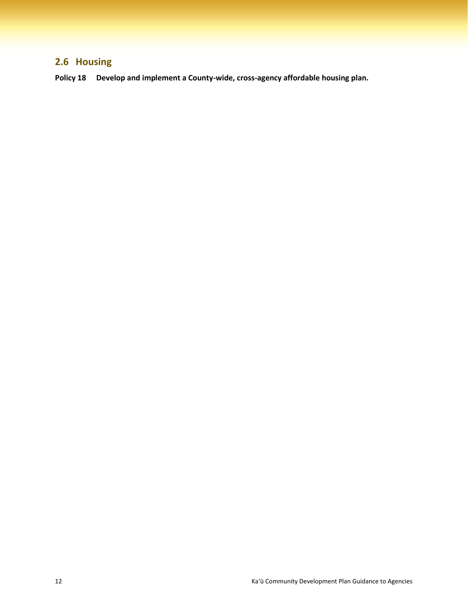# <span id="page-15-0"></span>**2.6 Housing**

**Policy 18 Develop and implement a County-wide, cross-agency affordable housing plan.**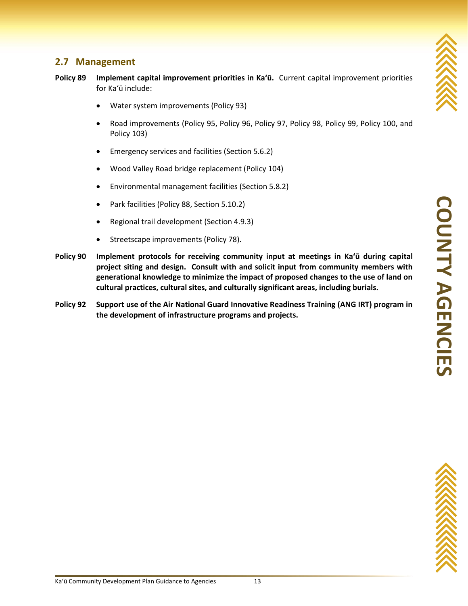### <span id="page-16-0"></span>**2.7 Management**

**Policy 89 Implement capital improvement priorities in Ka'ū.** Current capital improvement priorities for Ka'ū include:

- Water system improvements (Policy 93)
- Road improvements (Policy 95, Policy 96, Policy 97, Policy 98, Policy 99, Policy 100, and Policy 103)
- Emergency services and facilities (Section 5.6.2)
- Wood Valley Road bridge replacement (Policy 104)
- Environmental management facilities (Section 5.8.2)
- Park facilities (Policy 88, Section 5.10.2)
- Regional trail development (Section 4.9.3)
- Streetscape improvements (Policy 78).
- **Policy 90 Implement protocols for receiving community input at meetings in Ka'ū during capital project siting and design. Consult with and solicit input from community members with generational knowledge to minimize the impact of proposed changes to the use of land on cultural practices, cultural sites, and culturally significant areas, including burials.**
- **Policy 92 Support use of the Air National Guard Innovative Readiness Training (ANG IRT) program in the development of infrastructure programs and projects.**

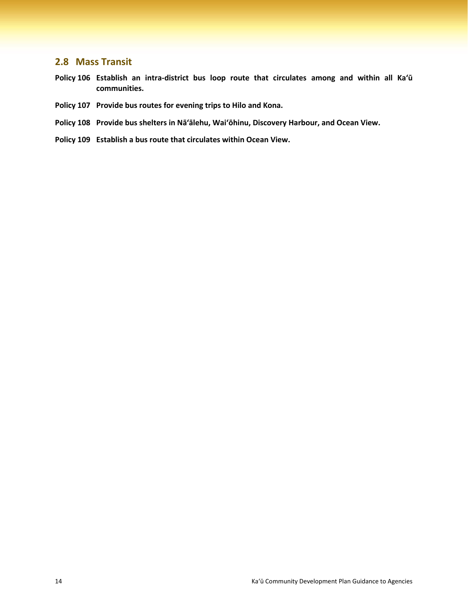### <span id="page-17-0"></span>**2.8 Mass Transit**

- **Policy 106 Establish an intra-district bus loop route that circulates among and within all Ka'ū communities.**
- **Policy 107 Provide bus routes for evening trips to Hilo and Kona.**
- **Policy 108 Provide bus shelters in Nāʻālehu, Wai'ōhinu, Discovery Harbour, and Ocean View.**
- **Policy 109 Establish a bus route that circulates within Ocean View.**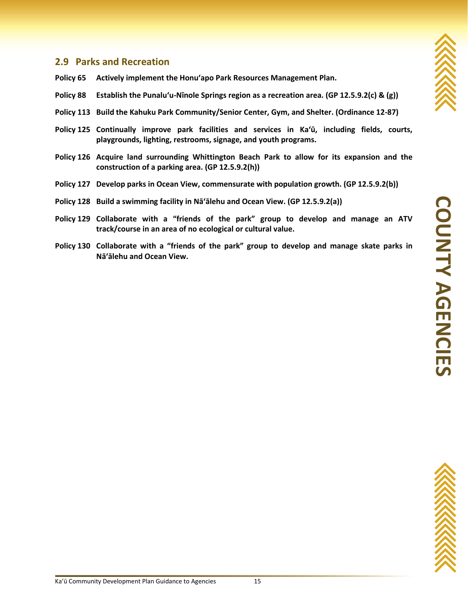

### <span id="page-18-0"></span>**2.9 Parks and Recreation**

- **Policy 65 Actively implement the Honu'apo Park Resources Management Plan.**
- **Policy 88 Establish the Punalu'u-Nīnole Springs region as a recreation area. (GP 12.5.9.2(c) & (g))**
- **Policy 113 Build the Kahuku Park Community/Senior Center, Gym, and Shelter. (Ordinance 12-87)**
- **Policy 125 Continually improve park facilities and services in Ka'ū, including fields, courts, playgrounds, lighting, restrooms, signage, and youth programs.**
- **Policy 126 Acquire land surrounding Whittington Beach Park to allow for its expansion and the construction of a parking area. (GP 12.5.9.2(h))**
- **Policy 127 Develop parks in Ocean View, commensurate with population growth. (GP 12.5.9.2(b))**
- **Policy 128 Build a swimming facility in Nāʻālehu and Ocean View. (GP 12.5.9.2(a))**
- **Policy 129 Collaborate with a "friends of the park" group to develop and manage an ATV track/course in an area of no ecological or cultural value.**
- **Policy 130 Collaborate with a "friends of the park" group to develop and manage skate parks in Nāʻālehu and Ocean View.**

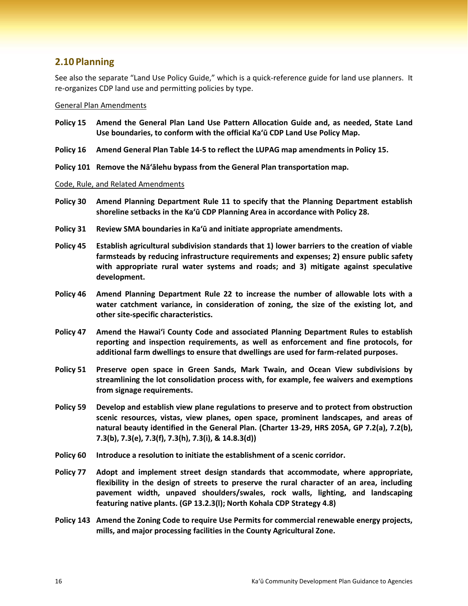### <span id="page-19-0"></span>**2.10 Planning**

See also the separate "Land Use Policy Guide," which is a quick-reference guide for land use planners. It re-organizes CDP land use and permitting policies by type.

#### General Plan Amendments

- **Policy 15 Amend the General Plan Land Use Pattern Allocation Guide and, as needed, State Land Use boundaries, to conform with the official Ka'ū CDP Land Use Policy Map.**
- **Policy 16 Amend General Plan Table 14-5 to reflect the LUPAG map amendments in Policy 15.**
- **Policy 101 Remove the Nāʻālehu bypass from the General Plan transportation map.**

#### Code, Rule, and Related Amendments

- **Policy 30 Amend Planning Department Rule 11 to specify that the Planning Department establish shoreline setbacks in the Ka'ū CDP Planning Area in accordance with Policy 28.**
- **Policy 31 Review SMA boundaries in Ka'ū and initiate appropriate amendments.**
- **Policy 45 Establish agricultural subdivision standards that 1) lower barriers to the creation of viable farmsteads by reducing infrastructure requirements and expenses; 2) ensure public safety with appropriate rural water systems and roads; and 3) mitigate against speculative development.**
- **Policy 46 Amend Planning Department Rule 22 to increase the number of allowable lots with a water catchment variance, in consideration of zoning, the size of the existing lot, and other site-specific characteristics.**
- **Policy 47 Amend the Hawai'i County Code and associated Planning Department Rules to establish reporting and inspection requirements, as well as enforcement and fine protocols, for additional farm dwellings to ensure that dwellings are used for farm-related purposes.**
- **Policy 51 Preserve open space in Green Sands, Mark Twain, and Ocean View subdivisions by streamlining the lot consolidation process with, for example, fee waivers and exemptions from signage requirements.**
- **Policy 59 Develop and establish view plane regulations to preserve and to protect from obstruction scenic resources, vistas, view planes, open space, prominent landscapes, and areas of natural beauty identified in the General Plan. (Charter 13-29, HRS 205A, GP 7.2(a), 7.2(b), 7.3(b), 7.3(e), 7.3(f), 7.3(h), 7.3(i), & 14.8.3(d))**
- **Policy 60 Introduce a resolution to initiate the establishment of a scenic corridor.**
- **Policy 77 Adopt and implement street design standards that accommodate, where appropriate, flexibility in the design of streets to preserve the rural character of an area, including pavement width, unpaved shoulders/swales, rock walls, lighting, and landscaping featuring native plants. (GP 13.2.3(l); North Kohala CDP Strategy 4.8)**
- **Policy 143 Amend the Zoning Code to require Use Permits for commercial renewable energy projects, mills, and major processing facilities in the County Agricultural Zone.**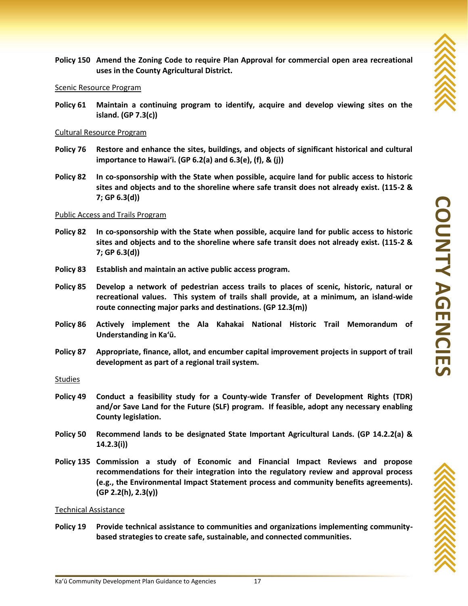**Policy 150 Amend the Zoning Code to require Plan Approval for commercial open area recreational uses in the County Agricultural District.**

Scenic Resource Program

**Policy 61 Maintain a continuing program to identify, acquire and develop viewing sites on the island. (GP 7.3(c))**

Cultural Resource Program

- **Policy 76 Restore and enhance the sites, buildings, and objects of significant historical and cultural importance to Hawai'i. (GP 6.2(a) and 6.3(e), (f), & (j))**
- **Policy 82 In co-sponsorship with the State when possible, acquire land for public access to historic sites and objects and to the shoreline where safe transit does not already exist. (115-2 & 7; GP 6.3(d))**

#### Public Access and Trails Program

- **Policy 82 In co-sponsorship with the State when possible, acquire land for public access to historic sites and objects and to the shoreline where safe transit does not already exist. (115-2 & 7; GP 6.3(d))**
- **Policy 83 Establish and maintain an active public access program.**
- **Policy 85 Develop a network of pedestrian access trails to places of scenic, historic, natural or recreational values. This system of trails shall provide, at a minimum, an island-wide route connecting major parks and destinations. (GP 12.3(m))**
- **Policy 86 Actively implement the Ala Kahakai National Historic Trail Memorandum of Understanding in Ka'ū.**
- **Policy 87 Appropriate, finance, allot, and encumber capital improvement projects in support of trail development as part of a regional trail system.**

Studies

- **Policy 49 Conduct a feasibility study for a County-wide Transfer of Development Rights (TDR) and/or Save Land for the Future (SLF) program. If feasible, adopt any necessary enabling County legislation.**
- **Policy 50 Recommend lands to be designated State Important Agricultural Lands. (GP 14.2.2(a) & 14.2.3(i))**
- **Policy 135 Commission a study of Economic and Financial Impact Reviews and propose recommendations for their integration into the regulatory review and approval process (e.g., the Environmental Impact Statement process and community benefits agreements). (GP 2.2(h), 2.3(y))**

Technical Assistance

**Policy 19 Provide technical assistance to communities and organizations implementing communitybased strategies to create safe, sustainable, and connected communities.**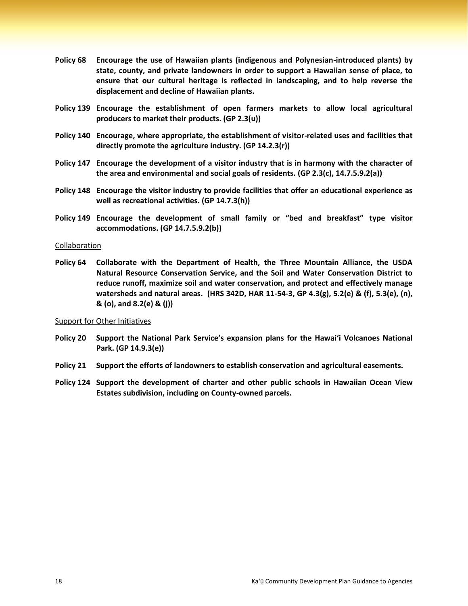- **Policy 68 Encourage the use of Hawaiian plants (indigenous and Polynesian-introduced plants) by state, county, and private landowners in order to support a Hawaiian sense of place, to ensure that our cultural heritage is reflected in landscaping, and to help reverse the displacement and decline of Hawaiian plants.**
- **Policy 139 Encourage the establishment of open farmers markets to allow local agricultural producers to market their products. (GP 2.3(u))**
- **Policy 140 Encourage, where appropriate, the establishment of visitor-related uses and facilities that directly promote the agriculture industry. (GP 14.2.3(r))**
- **Policy 147 Encourage the development of a visitor industry that is in harmony with the character of the area and environmental and social goals of residents. (GP 2.3(c), 14.7.5.9.2(a))**
- **Policy 148 Encourage the visitor industry to provide facilities that offer an educational experience as well as recreational activities. (GP 14.7.3(h))**
- **Policy 149 Encourage the development of small family or "bed and breakfast" type visitor accommodations. (GP 14.7.5.9.2(b))**

#### Collaboration

**Policy 64 Collaborate with the Department of Health, the Three Mountain Alliance, the USDA Natural Resource Conservation Service, and the Soil and Water Conservation District to reduce runoff, maximize soil and water conservation, and protect and effectively manage watersheds and natural areas. (HRS 342D, HAR 11-54-3, GP 4.3(g), 5.2(e) & (f), 5.3(e), (n), & (o), and 8.2(e) & (j))**

#### Support for Other Initiatives

- **Policy 20 Support the National Park Service's expansion plans for the Hawai'i Volcanoes National Park. (GP 14.9.3(e))**
- **Policy 21 Support the efforts of landowners to establish conservation and agricultural easements.**
- **Policy 124 Support the development of charter and other public schools in Hawaiian Ocean View Estates subdivision, including on County-owned parcels.**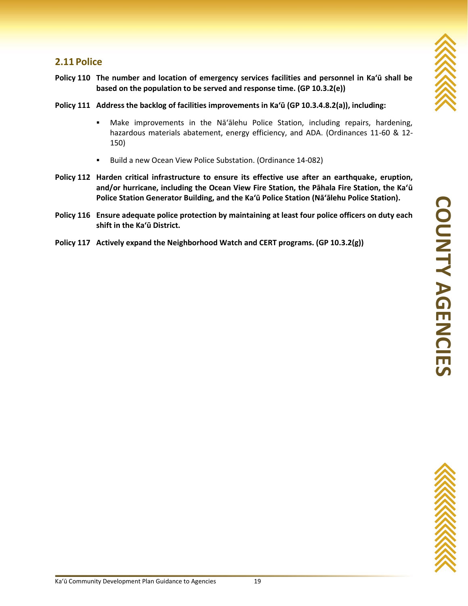

### <span id="page-22-0"></span>**2.11 Police**

- **Policy 110 The number and location of emergency services facilities and personnel in Ka'ū shall be based on the population to be served and response time. (GP 10.3.2(e))**
- **Policy 111 Address the backlog of facilities improvements in Ka'ū (GP 10.3.4.8.2(a)), including:**
	- Make improvements in the Nā'ālehu Police Station, including repairs, hardening, hazardous materials abatement, energy efficiency, and ADA. (Ordinances 11-60 & 12- 150)
	- Build a new Ocean View Police Substation. (Ordinance 14-082)
- **Policy 112 Harden critical infrastructure to ensure its effective use after an earthquake, eruption, and/or hurricane, including the Ocean View Fire Station, the Pāhala Fire Station, the Ka'ū Police Station Generator Building, and the Ka'ū Police Station (Nāʻālehu Police Station).**
- **Policy 116 Ensure adequate police protection by maintaining at least four police officers on duty each shift in the Ka'ū District.**
- **Policy 117 Actively expand the Neighborhood Watch and CERT programs. (GP 10.3.2(g))**

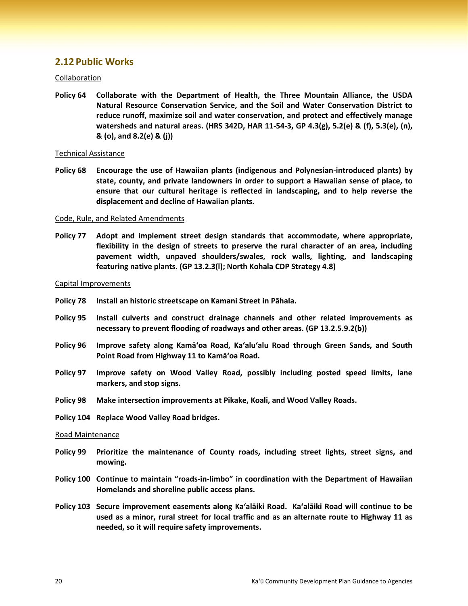### <span id="page-23-0"></span>**2.12 Public Works**

#### Collaboration

**Policy 64 Collaborate with the Department of Health, the Three Mountain Alliance, the USDA Natural Resource Conservation Service, and the Soil and Water Conservation District to reduce runoff, maximize soil and water conservation, and protect and effectively manage watersheds and natural areas. (HRS 342D, HAR 11-54-3, GP 4.3(g), 5.2(e) & (f), 5.3(e), (n), & (o), and 8.2(e) & (j))**

#### Technical Assistance

**Policy 68 Encourage the use of Hawaiian plants (indigenous and Polynesian-introduced plants) by state, county, and private landowners in order to support a Hawaiian sense of place, to ensure that our cultural heritage is reflected in landscaping, and to help reverse the displacement and decline of Hawaiian plants.**

#### Code, Rule, and Related Amendments

**Policy 77 Adopt and implement street design standards that accommodate, where appropriate, flexibility in the design of streets to preserve the rural character of an area, including pavement width, unpaved shoulders/swales, rock walls, lighting, and landscaping featuring native plants. (GP 13.2.3(l); North Kohala CDP Strategy 4.8)**

#### Capital Improvements

- **Policy 78 Install an historic streetscape on Kamani Street in Pāhala.**
- **Policy 95 Install culverts and construct drainage channels and other related improvements as necessary to prevent flooding of roadways and other areas. (GP 13.2.5.9.2(b))**
- **Policy 96 Improve safety along Kamā'oa Road, Ka'alu'alu Road through Green Sands, and South Point Road from Highway 11 to Kamā'oa Road.**
- **Policy 97 Improve safety on Wood Valley Road, possibly including posted speed limits, lane markers, and stop signs.**
- **Policy 98 Make intersection improvements at Pikake, Koali, and Wood Valley Roads.**
- **Policy 104 Replace Wood Valley Road bridges.**

#### Road Maintenance

- **Policy 99 Prioritize the maintenance of County roads, including street lights, street signs, and mowing.**
- **Policy 100 Continue to maintain "roads-in-limbo" in coordination with the Department of Hawaiian Homelands and shoreline public access plans.**
- **Policy 103 Secure improvement easements along Ka'alāiki Road. Ka'alāiki Road will continue to be used as a minor, rural street for local traffic and as an alternate route to Highway 11 as needed, so it will require safety improvements.**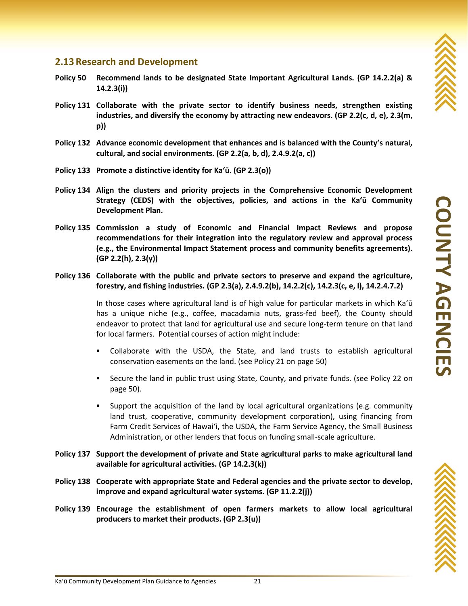**COUNTY AGENCIES**COUNTY AGENCIE

### <span id="page-24-0"></span>**2.13 Research and Development**

- **Policy 50 Recommend lands to be designated State Important Agricultural Lands. (GP 14.2.2(a) & 14.2.3(i))**
- **Policy 131 Collaborate with the private sector to identify business needs, strengthen existing industries, and diversify the economy by attracting new endeavors. (GP 2.2(c, d, e), 2.3(m, p))**
- **Policy 132 Advance economic development that enhances and is balanced with the County's natural, cultural, and social environments. (GP 2.2(a, b, d), 2.4.9.2(a, c))**
- **Policy 133 Promote a distinctive identity for Ka'ū. (GP 2.3(o))**
- **Policy 134 Align the clusters and priority projects in the Comprehensive Economic Development Strategy (CEDS) with the objectives, policies, and actions in the Ka'ū Community Development Plan.**
- **Policy 135 Commission a study of Economic and Financial Impact Reviews and propose recommendations for their integration into the regulatory review and approval process (e.g., the Environmental Impact Statement process and community benefits agreements). (GP 2.2(h), 2.3(y))**
- **Policy 136 Collaborate with the public and private sectors to preserve and expand the agriculture, forestry, and fishing industries. (GP 2.3(a), 2.4.9.2(b), 14.2.2(c), 14.2.3(c, e, l), 14.2.4.7.2)**

In those cases where agricultural land is of high value for particular markets in which Ka'ū has a unique niche (e.g., coffee, macadamia nuts, grass-fed beef), the County should endeavor to protect that land for agricultural use and secure long-term tenure on that land for local farmers. Potential courses of action might include:

- Collaborate with the USDA, the State, and land trusts to establish agricultural conservation easements on the land. (see Policy 21 on page 50)
- Secure the land in public trust using State, County, and private funds. (see Policy 22 on page 50).
- Support the acquisition of the land by local agricultural organizations (e.g. community land trust, cooperative, community development corporation), using financing from Farm Credit Services of Hawai'i, the USDA, the Farm Service Agency, the Small Business Administration, or other lenders that focus on funding small-scale agriculture.
- **Policy 137 Support the development of private and State agricultural parks to make agricultural land available for agricultural activities. (GP 14.2.3(k))**
- **Policy 138 Cooperate with appropriate State and Federal agencies and the private sector to develop, improve and expand agricultural water systems. (GP 11.2.2(j))**
- **Policy 139 Encourage the establishment of open farmers markets to allow local agricultural producers to market their products. (GP 2.3(u))**

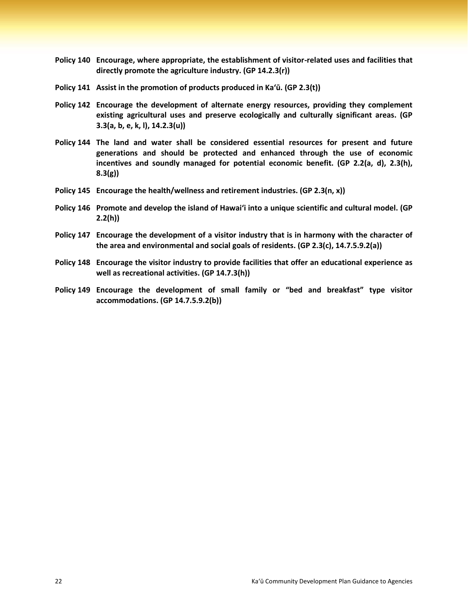- **Policy 140 Encourage, where appropriate, the establishment of visitor-related uses and facilities that directly promote the agriculture industry. (GP 14.2.3(r))**
- **Policy 141 Assist in the promotion of products produced in Ka'ū. (GP 2.3(t))**
- **Policy 142 Encourage the development of alternate energy resources, providing they complement existing agricultural uses and preserve ecologically and culturally significant areas. (GP 3.3(a, b, e, k, l), 14.2.3(u))**
- **Policy 144 The land and water shall be considered essential resources for present and future generations and should be protected and enhanced through the use of economic incentives and soundly managed for potential economic benefit. (GP 2.2(a, d), 2.3(h), 8.3(g))**
- **Policy 145 Encourage the health/wellness and retirement industries. (GP 2.3(n, x))**
- **Policy 146 Promote and develop the island of Hawai'i into a unique scientific and cultural model. (GP 2.2(h))**
- **Policy 147 Encourage the development of a visitor industry that is in harmony with the character of the area and environmental and social goals of residents. (GP 2.3(c), 14.7.5.9.2(a))**
- **Policy 148 Encourage the visitor industry to provide facilities that offer an educational experience as well as recreational activities. (GP 14.7.3(h))**
- **Policy 149 Encourage the development of small family or "bed and breakfast" type visitor accommodations. (GP 14.7.5.9.2(b))**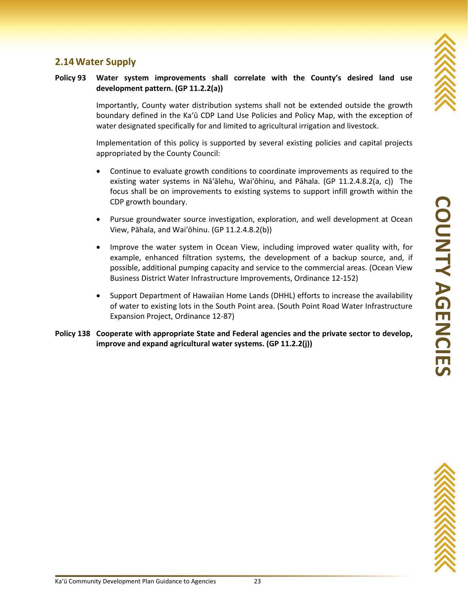

### <span id="page-26-0"></span>**Policy 93 Water system improvements shall correlate with the County's desired land use development pattern. (GP 11.2.2(a))**

Importantly, County water distribution systems shall not be extended outside the growth boundary defined in the Ka'ū CDP Land Use Policies and Policy Map, with the exception of water designated specifically for and limited to agricultural irrigation and livestock.

Implementation of this policy is supported by several existing policies and capital projects appropriated by the County Council:

- Continue to evaluate growth conditions to coordinate improvements as required to the existing water systems in Nāʻālehu, Wai'ōhinu, and Pāhala. (GP 11.2.4.8.2(a, c)) The focus shall be on improvements to existing systems to support infill growth within the CDP growth boundary.
- Pursue groundwater source investigation, exploration, and well development at Ocean View, Pāhala, and Wai'ōhinu. (GP 11.2.4.8.2(b))
- Improve the water system in Ocean View, including improved water quality with, for example, enhanced filtration systems, the development of a backup source, and, if possible, additional pumping capacity and service to the commercial areas. (Ocean View Business District Water Infrastructure Improvements, Ordinance 12-152)
- Support Department of Hawaiian Home Lands (DHHL) efforts to increase the availability of water to existing lots in the South Point area. (South Point Road Water Infrastructure Expansion Project, Ordinance 12-87)
- **Policy 138 Cooperate with appropriate State and Federal agencies and the private sector to develop, improve and expand agricultural water systems. (GP 11.2.2(j))**

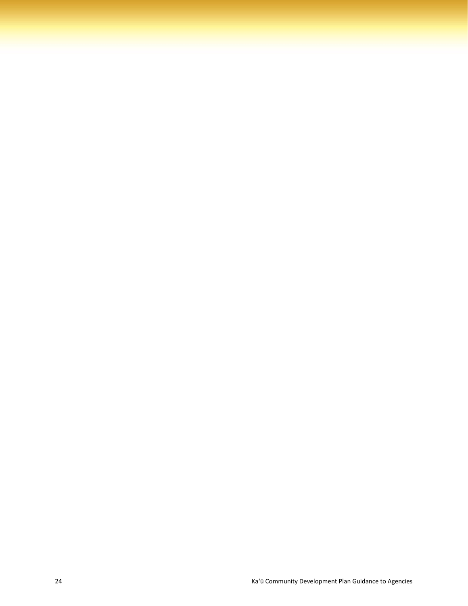Ka'ū Community Development Plan Guidance to Agencies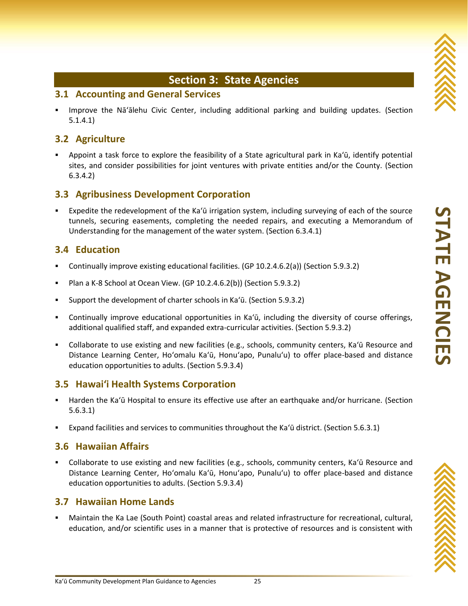

# <span id="page-28-0"></span>**Section 3: State Agencies**

### <span id="page-28-1"></span>**3.1 Accounting and General Services**

Improve the Nā'ālehu Civic Center, including additional parking and building updates. (Section 5.1.4.1)

# <span id="page-28-2"></span>**3.2 Agriculture**

Appoint a task force to explore the feasibility of a State agricultural park in Ka'ū, identify potential sites, and consider possibilities for joint ventures with private entities and/or the County. (Section 6.3.4.2)

# <span id="page-28-3"></span>**3.3 Agribusiness Development Corporation**

Expedite the redevelopment of the Ka'ū irrigation system, including surveying of each of the source tunnels, securing easements, completing the needed repairs, and executing a Memorandum of Understanding for the management of the water system. (Section 6.3.4.1)

# <span id="page-28-4"></span>**3.4 Education**

- Continually improve existing educational facilities. (GP 10.2.4.6.2(a)) (Section 5.9.3.2)
- Plan a K-8 School at Ocean View. (GP 10.2.4.6.2(b)) (Section 5.9.3.2)
- Support the development of charter schools in Ka'ū. (Section 5.9.3.2)
- Continually improve educational opportunities in Ka'ū, including the diversity of course offerings, additional qualified staff, and expanded extra-curricular activities. (Section 5.9.3.2)
- Collaborate to use existing and new facilities (e.g., schools, community centers, Ka'ū Resource and Distance Learning Center, Hoʻomalu Ka'ū, Honuʻapo, Punaluʻu) to offer place-based and distance education opportunities to adults. (Section 5.9.3.4)

# <span id="page-28-5"></span>**3.5 Hawai'i Health Systems Corporation**

- Harden the Ka'ū Hospital to ensure its effective use after an earthquake and/or hurricane. (Section 5.6.3.1)
- Expand facilities and services to communities throughout the Ka'ū district. (Section 5.6.3.1)

### <span id="page-28-6"></span>**3.6 Hawaiian Affairs**

Collaborate to use existing and new facilities (e.g., schools, community centers, Ka'ū Resource and Distance Learning Center, Hoʻomalu Ka'ū, Honuʻapo, Punaluʻu) to offer place-based and distance education opportunities to adults. (Section 5.9.3.4)

# <span id="page-28-7"></span>**3.7 Hawaiian Home Lands**

Maintain the Ka Lae (South Point) coastal areas and related infrastructure for recreational, cultural, education, and/or scientific uses in a manner that is protective of resources and is consistent with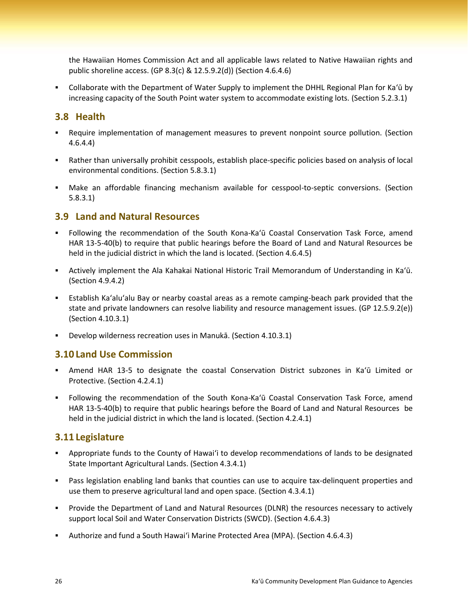the Hawaiian Homes Commission Act and all applicable laws related to Native Hawaiian rights and public shoreline access. (GP 8.3(c) & 12.5.9.2(d)) (Section 4.6.4.6)

**•** Collaborate with the Department of Water Supply to implement the DHHL Regional Plan for Ka'ū by increasing capacity of the South Point water system to accommodate existing lots. (Section 5.2.3.1)

# <span id="page-29-0"></span>**3.8 Health**

- **•** Require implementation of management measures to prevent nonpoint source pollution. (Section 4.6.4.4)
- **EXECT And IT Analysis of Inciatation** Place-specific policies based on analysis of local environmental conditions. (Section 5.8.3.1)
- Make an affordable financing mechanism available for cesspool-to-septic conversions. (Section 5.8.3.1)

### <span id="page-29-1"></span>**3.9 Land and Natural Resources**

- Following the recommendation of the South Kona-Ka'ū Coastal Conservation Task Force, amend HAR 13-5-40(b) to require that public hearings before the Board of Land and Natural Resources be held in the judicial district in which the land is located. (Section 4.6.4.5)
- Actively implement the Ala Kahakai National Historic Trail Memorandum of Understanding in Ka'ū. (Section 4.9.4.2)
- Establish Ka'alu'alu Bay or nearby coastal areas as a remote camping-beach park provided that the state and private landowners can resolve liability and resource management issues. (GP 12.5.9.2(e)) (Section 4.10.3.1)
- Develop wilderness recreation uses in Manukā. (Section 4.10.3.1)

### <span id="page-29-2"></span>**3.10 Land Use Commission**

- Amend HAR 13-5 to designate the coastal Conservation District subzones in Ka'ū Limited or Protective. (Section 4.2.4.1)
- Following the recommendation of the South Kona-Ka'ū Coastal Conservation Task Force, amend HAR 13-5-40(b) to require that public hearings before the Board of Land and Natural Resources be held in the judicial district in which the land is located. (Section 4.2.4.1)

### <span id="page-29-3"></span>**3.11 Legislature**

- Appropriate funds to the County of Hawai'i to develop recommendations of lands to be designated State Important Agricultural Lands. (Section 4.3.4.1)
- Pass legislation enabling land banks that counties can use to acquire tax-delinquent properties and use them to preserve agricultural land and open space. (Section 4.3.4.1)
- Provide the Department of Land and Natural Resources (DLNR) the resources necessary to actively support local Soil and Water Conservation Districts (SWCD). (Section 4.6.4.3)
- Authorize and fund a South Hawai'i Marine Protected Area (MPA). (Section 4.6.4.3)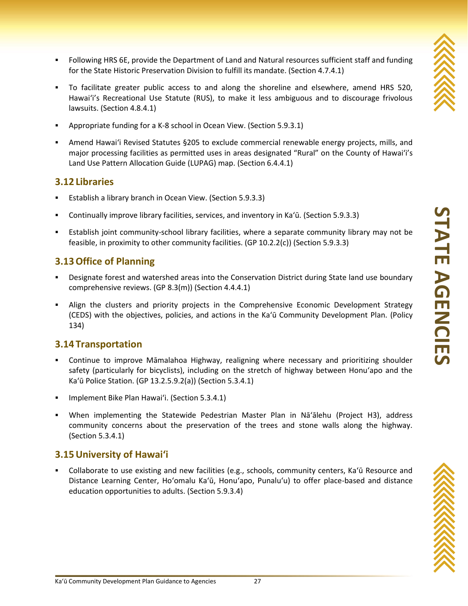

- Following HRS 6E, provide the Department of Land and Natural resources sufficient staff and funding for the State Historic Preservation Division to fulfill its mandate. (Section 4.7.4.1)
- To facilitate greater public access to and along the shoreline and elsewhere, amend HRS 520, Hawai'i's Recreational Use Statute (RUS), to make it less ambiguous and to discourage frivolous lawsuits. (Section 4.8.4.1)
- Appropriate funding for a K-8 school in Ocean View. (Section 5.9.3.1)
- Amend Hawai'i Revised Statutes §205 to exclude commercial renewable energy projects, mills, and major processing facilities as permitted uses in areas designated "Rural" on the County of Hawai'i's Land Use Pattern Allocation Guide (LUPAG) map. (Section 6.4.4.1)

### <span id="page-30-0"></span>**3.12 Libraries**

- Establish a library branch in Ocean View. (Section 5.9.3.3)
- Continually improve library facilities, services, and inventory in Ka'ū. (Section 5.9.3.3)
- Establish joint community-school library facilities, where a separate community library may not be feasible, in proximity to other community facilities. (GP 10.2.2(c)) (Section 5.9.3.3)

### <span id="page-30-1"></span>**3.13Office of Planning**

- Designate forest and watershed areas into the Conservation District during State land use boundary comprehensive reviews. (GP 8.3(m)) (Section 4.4.4.1)
- Align the clusters and priority projects in the Comprehensive Economic Development Strategy (CEDS) with the objectives, policies, and actions in the Ka'ū Community Development Plan. (Policy 134)

### <span id="page-30-2"></span>**3.14 Transportation**

- Continue to improve Māmalahoa Highway, realigning where necessary and prioritizing shoulder safety (particularly for bicyclists), including on the stretch of highway between Honuʻapo and the Ka'ū Police Station. (GP 13.2.5.9.2(a)) (Section 5.3.4.1)
- Implement Bike Plan Hawai'i. (Section 5.3.4.1)
- When implementing the Statewide Pedestrian Master Plan in Nā'alehu (Project H3), address community concerns about the preservation of the trees and stone walls along the highway. (Section 5.3.4.1)

### <span id="page-30-3"></span>**3.15University of Hawai'i**

Collaborate to use existing and new facilities (e.g., schools, community centers, Ka'ū Resource and Distance Learning Center, Hoʻomalu Ka'ū, Honuʻapo, Punaluʻu) to offer place-based and distance education opportunities to adults. (Section 5.9.3.4)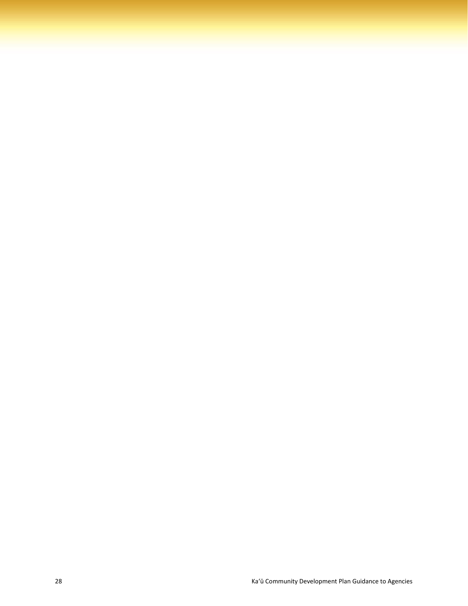Ka'ū Community Development Plan Guidance to Agencies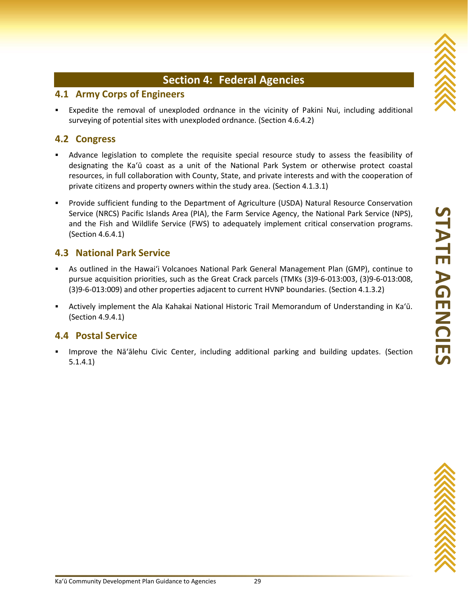

# <span id="page-32-0"></span>**Section 4: Federal Agencies**

## <span id="page-32-1"></span>**4.1 Army Corps of Engineers**

Expedite the removal of unexploded ordnance in the vicinity of Pakini Nui, including additional surveying of potential sites with unexploded ordnance. (Section 4.6.4.2)

## <span id="page-32-2"></span>**4.2 Congress**

- Advance legislation to complete the requisite special resource study to assess the feasibility of designating the Ka'ū coast as a unit of the National Park System or otherwise protect coastal resources, in full collaboration with County, State, and private interests and with the cooperation of private citizens and property owners within the study area. (Section 4.1.3.1)
- Provide sufficient funding to the Department of Agriculture (USDA) Natural Resource Conservation Service (NRCS) Pacific Islands Area (PIA), the Farm Service Agency, the National Park Service (NPS), and the Fish and Wildlife Service (FWS) to adequately implement critical conservation programs. (Section 4.6.4.1)

# <span id="page-32-3"></span>**4.3 National Park Service**

- As outlined in the Hawai'i Volcanoes National Park General Management Plan (GMP), continue to pursue acquisition priorities, such as the Great Crack parcels (TMKs (3)9-6-013:003, (3)9-6-013:008, (3)9-6-013:009) and other properties adjacent to current HVNP boundaries. (Section 4.1.3.2)
- Actively implement the Ala Kahakai National Historic Trail Memorandum of Understanding in Ka'ū. (Section 4.9.4.1)

### <span id="page-32-4"></span>**4.4 Postal Service**

Improve the Nā'ālehu Civic Center, including additional parking and building updates. (Section 5.1.4.1)

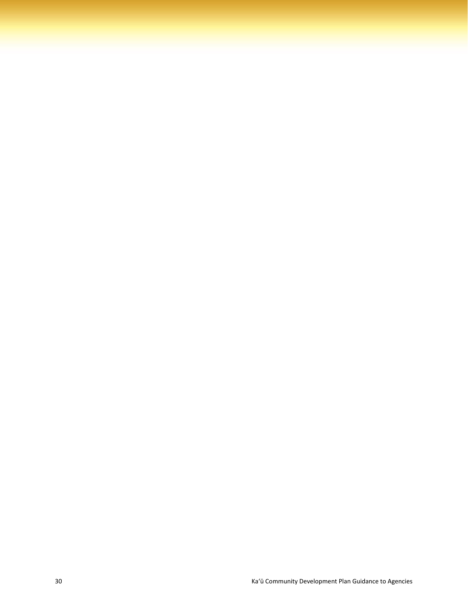Ka'ū Community Development Plan Guidance to Agencies